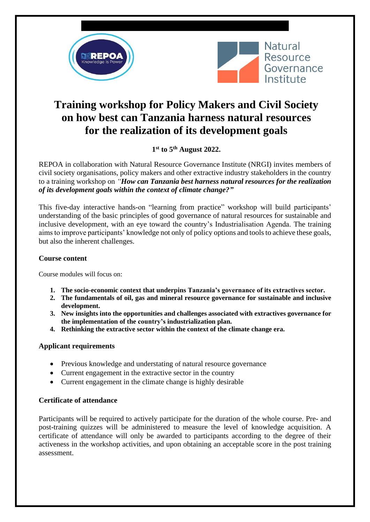



# **Training workshop for Policy Makers and Civil Society on how best can Tanzania harness natural resources for the realization of its development goals**

**1 st to 5 th August 2022.**

REPOA in collaboration with Natural Resource Governance Institute (NRGI) invites members of civil society organisations, policy makers and other extractive industry stakeholders in the country to a training workshop on *"How can Tanzania best harness natural resources for the realization of its development goals within the context of climate change?"*

This five-day interactive hands-on "learning from practice" workshop will build participants' understanding of the basic principles of good governance of natural resources for sustainable and inclusive development, with an eye toward the country's Industrialisation Agenda. The training aims to improve participants' knowledge not only of policy options and tools to achieve these goals, but also the inherent challenges.

## **Course content**

Course modules will focus on:

- **1. The socio-economic context that underpins Tanzania's governance of its extractives sector.**
- **2. The fundamentals of oil, gas and mineral resource governance for sustainable and inclusive development.**
- **3. New insights into the opportunities and challenges associated with extractives governance for the implementation of the country's industrialization plan.**
- **4. Rethinking the extractive sector within the context of the climate change era.**

## **Applicant requirements**

- Previous knowledge and understating of natural resource governance
- Current engagement in the extractive sector in the country
- Current engagement in the climate change is highly desirable

## **Certificate of attendance**

Participants will be required to actively participate for the duration of the whole course. Pre- and post-training quizzes will be administered to measure the level of knowledge acquisition. A certificate of attendance will only be awarded to participants according to the degree of their activeness in the workshop activities, and upon obtaining an acceptable score in the post training assessment.